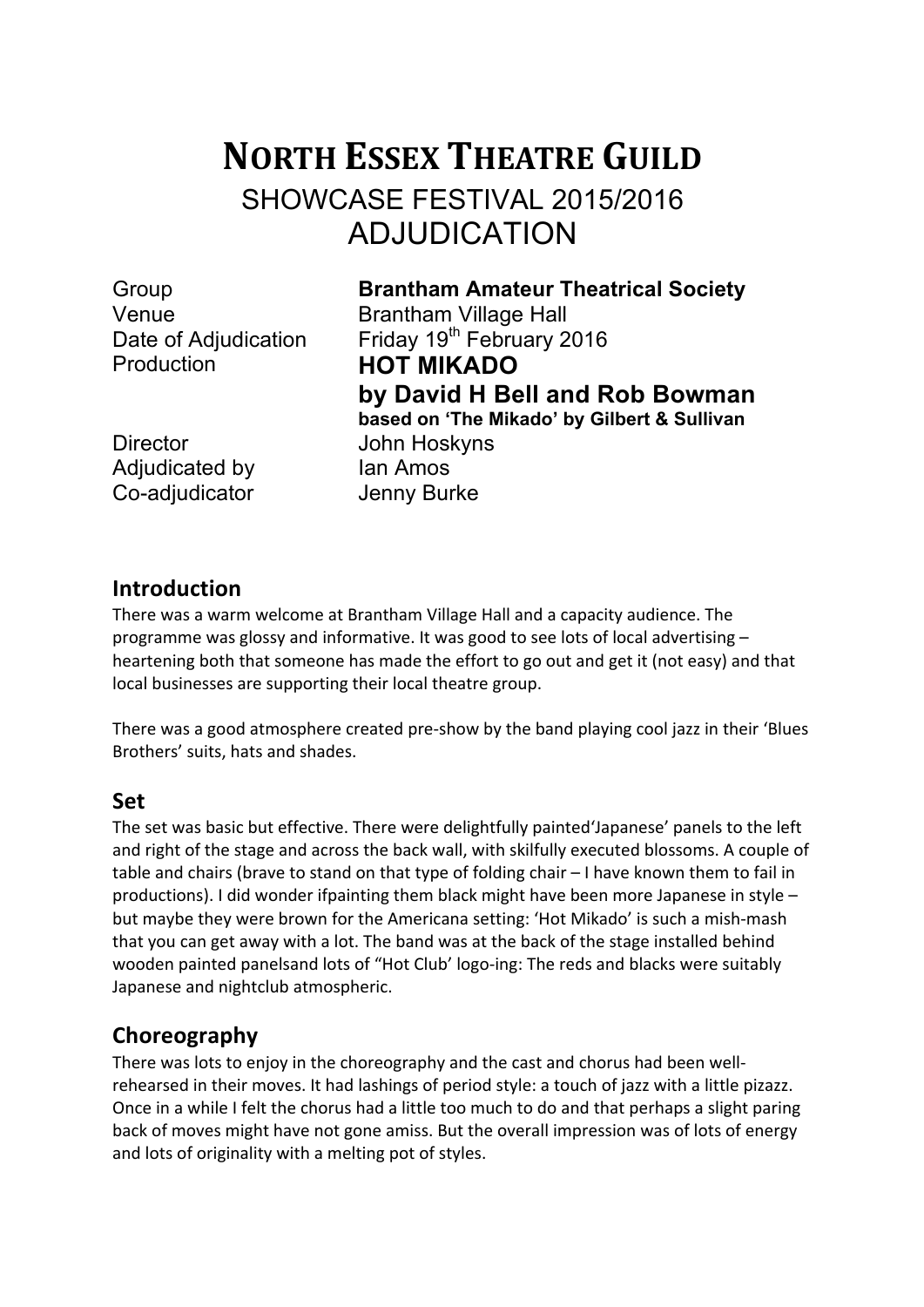# **NORTH ESSEX THEATRE GUILD** SHOWCASE FESTIVAL 2015/2016 ADJUDICATION

Production **HOT MIKADO**

Group **Brantham Amateur Theatrical Society** Venue **Brantham Village Hall** Date of Adjudication Friday 19<sup>th</sup> February 2016 **by David H Bell and Rob Bowman based on 'The Mikado' by Gilbert & Sullivan**

Director John Hoskyns Adjudicated by Ian Amos Co-adjudicator Jenny Burke

## **Introduction**

There was a warm welcome at Brantham Village Hall and a capacity audience. The programme was glossy and informative. It was good to see lots of local advertising  $$ heartening both that someone has made the effort to go out and get it (not easy) and that local businesses are supporting their local theatre group.

There was a good atmosphere created pre-show by the band playing cool jazz in their 'Blues Brothers' suits, hats and shades.

### **Set**

The set was basic but effective. There were delightfully painted'Japanese' panels to the left and right of the stage and across the back wall, with skilfully executed blossoms. A couple of table and chairs (brave to stand on that type of folding chair  $-1$  have known them to fail in productions). I did wonder ifpainting them black might have been more Japanese in style  $$ but maybe they were brown for the Americana setting: 'Hot Mikado' is such a mish-mash that you can get away with a lot. The band was at the back of the stage installed behind wooden painted panelsand lots of "Hot Club' logo-ing: The reds and blacks were suitably Japanese and nightclub atmospheric.

# **Choreography**

There was lots to enjoy in the choreography and the cast and chorus had been wellrehearsed in their moves. It had lashings of period style: a touch of jazz with a little pizazz. Once in a while I felt the chorus had a little too much to do and that perhaps a slight paring back of moves might have not gone amiss. But the overall impression was of lots of energy and lots of originality with a melting pot of styles.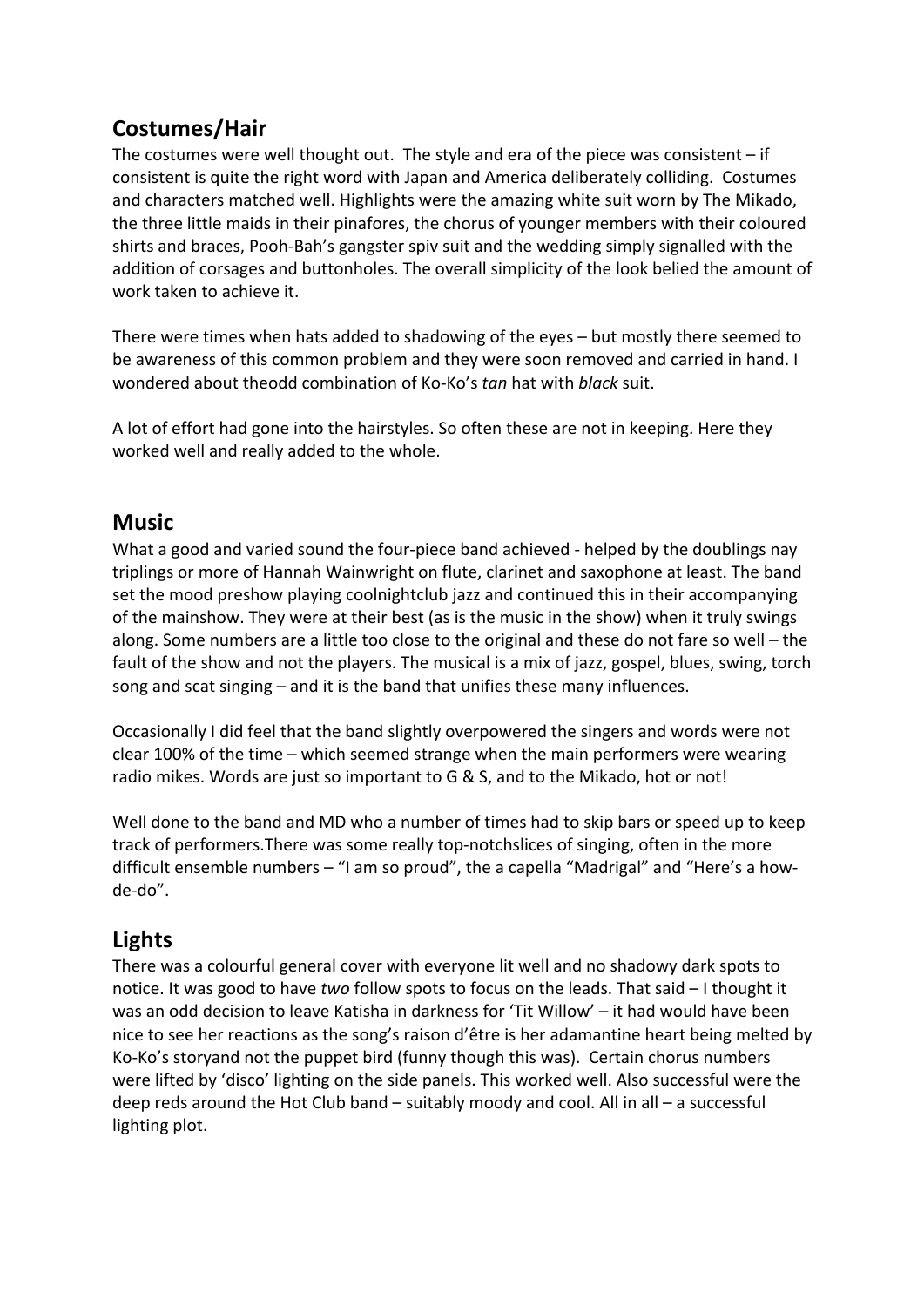# **Costumes/Hair**

The costumes were well thought out. The style and era of the piece was consistent  $-$  if consistent is quite the right word with Japan and America deliberately colliding. Costumes and characters matched well. Highlights were the amazing white suit worn by The Mikado, the three little maids in their pinafores, the chorus of younger members with their coloured shirts and braces, Pooh-Bah's gangster spiv suit and the wedding simply signalled with the addition of corsages and buttonholes. The overall simplicity of the look belied the amount of work taken to achieve it.

There were times when hats added to shadowing of the eyes - but mostly there seemed to be awareness of this common problem and they were soon removed and carried in hand. I wondered about theodd combination of Ko-Ko's *tan* hat with *black* suit.

A lot of effort had gone into the hairstyles. So often these are not in keeping. Here they worked well and really added to the whole.

## **Music**

What a good and varied sound the four-piece band achieved - helped by the doublings nay triplings or more of Hannah Wainwright on flute, clarinet and saxophone at least. The band set the mood preshow playing coolnightclub jazz and continued this in their accompanying of the mainshow. They were at their best (as is the music in the show) when it truly swings along. Some numbers are a little too close to the original and these do not fare so well – the fault of the show and not the players. The musical is a mix of jazz, gospel, blues, swing, torch song and scat singing  $-$  and it is the band that unifies these many influences.

Occasionally I did feel that the band slightly overpowered the singers and words were not clear 100% of the time  $-$  which seemed strange when the main performers were wearing radio mikes. Words are just so important to G & S, and to the Mikado, hot or not!

Well done to the band and MD who a number of times had to skip bars or speed up to keep track of performers. There was some really top-notchslices of singing, often in the more difficult ensemble numbers  $-$  "I am so proud", the a capella "Madrigal" and "Here's a howde-do".

## **Lights**

There was a colourful general cover with everyone lit well and no shadowy dark spots to notice. It was good to have *two* follow spots to focus on the leads. That said – I thought it was an odd decision to leave Katisha in darkness for 'Tit Willow' – it had would have been nice to see her reactions as the song's raison d'être is her adamantine heart being melted by Ko-Ko's storyand not the puppet bird (funny though this was). Certain chorus numbers were lifted by 'disco' lighting on the side panels. This worked well. Also successful were the deep reds around the Hot Club band – suitably moody and cool. All in all – a successful lighting plot.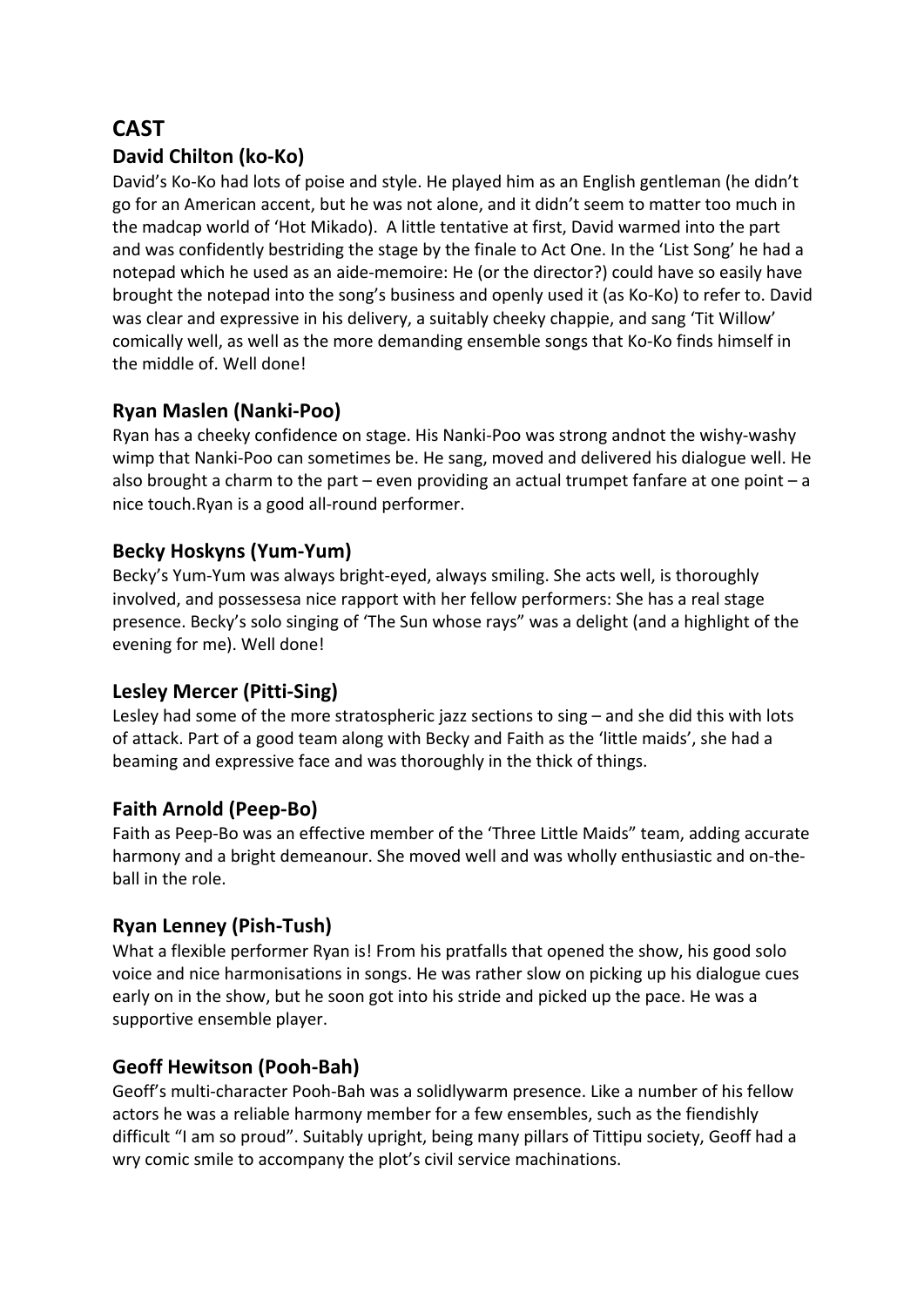# **CAST**

#### **David Chilton (ko-Ko)**

David's Ko-Ko had lots of poise and style. He played him as an English gentleman (he didn't go for an American accent, but he was not alone, and it didn't seem to matter too much in the madcap world of 'Hot Mikado). A little tentative at first, David warmed into the part and was confidently bestriding the stage by the finale to Act One. In the 'List Song' he had a notepad which he used as an aide-memoire: He (or the director?) could have so easily have brought the notepad into the song's business and openly used it (as Ko-Ko) to refer to. David was clear and expressive in his delivery, a suitably cheeky chappie, and sang 'Tit Willow' comically well, as well as the more demanding ensemble songs that Ko-Ko finds himself in the middle of. Well done!

#### **Ryan Maslen (Nanki-Poo)**

Ryan has a cheeky confidence on stage. His Nanki-Poo was strong andnot the wishy-washy wimp that Nanki-Poo can sometimes be. He sang, moved and delivered his dialogue well. He also brought a charm to the part – even providing an actual trumpet fanfare at one point – a nice touch. Ryan is a good all-round performer.

#### **Becky Hoskyns (Yum-Yum)**

Becky's Yum-Yum was always bright-eyed, always smiling. She acts well, is thoroughly involved, and possessesa nice rapport with her fellow performers: She has a real stage presence. Becky's solo singing of 'The Sun whose rays" was a delight (and a highlight of the evening for me). Well done!

#### **Lesley Mercer (Pitti-Sing)**

Lesley had some of the more stratospheric jazz sections to sing  $-$  and she did this with lots of attack. Part of a good team along with Becky and Faith as the 'little maids', she had a beaming and expressive face and was thoroughly in the thick of things.

#### **Faith Arnold (Peep-Bo)**

Faith as Peep-Bo was an effective member of the 'Three Little Maids" team, adding accurate harmony and a bright demeanour. She moved well and was wholly enthusiastic and on-theball in the role.

#### **Ryan Lenney (Pish-Tush)**

What a flexible performer Ryan is! From his pratfalls that opened the show, his good solo voice and nice harmonisations in songs. He was rather slow on picking up his dialogue cues early on in the show, but he soon got into his stride and picked up the pace. He was a supportive ensemble player.

#### Geoff Hewitson (Pooh-Bah)

Geoff's multi-character Pooh-Bah was a solidlywarm presence. Like a number of his fellow actors he was a reliable harmony member for a few ensembles, such as the fiendishly difficult "I am so proud". Suitably upright, being many pillars of Tittipu society, Geoff had a wry comic smile to accompany the plot's civil service machinations.